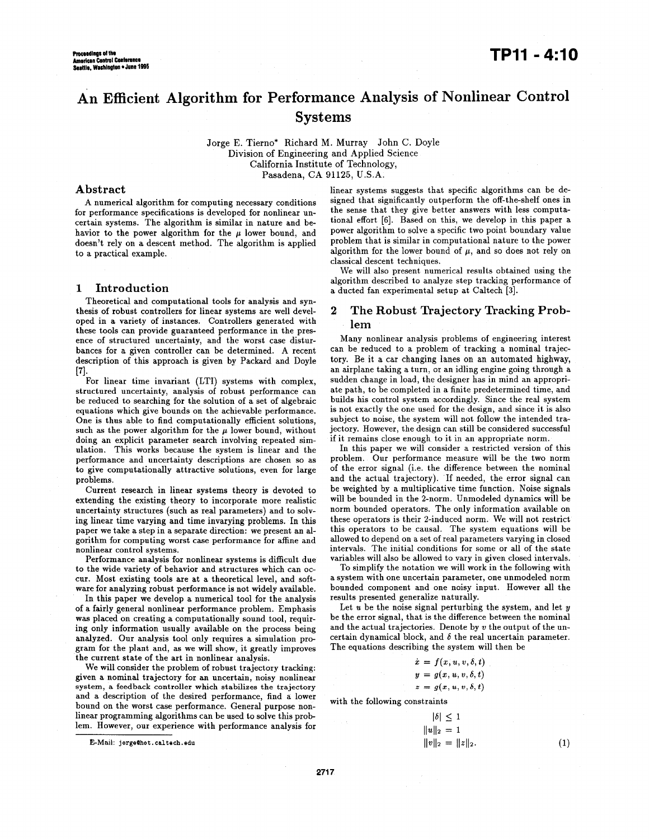# **An Efficient Algorithm for Performance Analysis of Nonlinear Control Systems**

Jorge E. Tierno\* Richard M. Murray John C. Doyle Division of Engineering and Applied Science California Institute of Technology, Pasadena, **CA 91125,** U.S.A.

# **Abstract**

**A** numerical algorithm for computing necessary conditions for performance specifications is developed for nonlinear uncertain systems. The algorithm is similar in nature and behavior to the power algorithm for the  $\mu$  lower bound, and doesn't rely on a descent method. The algorithm is applied to a practical example.

# **1 Introduction**

Theoretical and computational tools for analysis and synthesis of robust controllers for linear systems are well developed in a variety of instances. Controllers generated with these tools can provide guaranteed performance in the presence of structured uncertainty, and the worst case disturbances for a given controller can be determined. **A** recent description of this approach is given by Packard and Doyle **[71.** 

For linear time invariant (LTI) systems with complex, structured uncertainty, analysis of robust performance can be reduced to searching for the solution of a set of algebraic equations which give bounds on the achievable performance. One is thus able to find computationally efficient solutions, such as the power algorithm for the  $\mu$  lower bound, without doing an explicit parameter search involving repeated simulation. This works because the system is linear and the performance and uncertainty descriptions are chosen *so* as to give computationally attractive solutions, even for large problems.

Current research in linear systems theory is devoted to extending the existing theory to incorporate more realistic uncertainty structures (such as real parameters) and to solving linear time varying and time invarying problems. In this paper we take a step in a separate direction: we present an algorithm for computing worst case performance for affine and nonlinear control systems.

Performance analysis for nonlinear systems is difficult due to the wide variety of behavior and structures which can occur. Most existing tools are at a theoretical level, and software for analyzing robust performance is not widely available.

In this paper we develop **a** numerical tool for the analysis of a fairly general nonlinear performance problem. Emphasis was placed on creating a computationally sound tool, requiring only information usually available on the process being analyzed. **Our** analysis tool only requires a simulation program for the plant and, as we will show, it greatly improves the current state of the art in nonlinear analysis.

We will consider the problem **of** robust trajectory tracking: given a nominal trajectory for an uncertain, noisy nonlinear system, a feedback controller which stabilizes the trajectory and a description of the desired performance, find a lower bound on the worst case performance. General purpose nonlinear programming algorithms can be used to solve this problem. However, **our** experience with performance analysis for

linear systems suggests that specific algorithms can be designed that significantly outperform the off-the-shelf ones in the sense that they give better answers with less computational effort **[6].** Based on this, we develop in this paper a power algorithm to solve a specific two point boundary value problem that is similar in computational nature to the power algorithm for the lower bound of  $\mu$ , and so does not rely on classical descent techniques.

We will also present numerical results obtained using the algorithm described to analyze step tracking performance of a ducted fan experimental setup at Caltech **[3].** 

# **2 The Robust Trajectory Tracking Problem**

Many nonlinear analysis problems of engineering interest can be reduced to a problem of tracking a nominal trajectory. Be it a car changing lanes on an automated highway, an airplane taking a turn, or an idling engine going through a sudden change in load, the designer has in mind an appropriate path, to be completed in a finite predetermined time, and builds his control system accordingly. Since the real system is not exactly the one used for the design, and since it is also subject to noise, the system will not follow the intended trajectory. However, the design can still be considered successful if it remains close enough to it in an appropriate norm.

In this paper we will consider a restricted version of this problem. Our performance measure will be the two norm of the error signal (i.e. the difference between the nominal and the actual trajectory). If needed, the error signal can be weighted by a multiplicative time function. Noise signals will be bounded in the 2-norm. Unmodeled dynamics will be norm bounded operators. The only information available on these operators is their 2-induced norm. We will not restrict this operators to be causal. The system equations will be allowed to depend on a set of real parameters varying in closed intervals. The initial conditions for some **or** all of the state variables will also be allowed to vary in given closed intervals.

To simplify the notation we will work in the following with a system with one uncertain parameter, one unmodeled norm bounded component and one noisy input. However all the results presented generalize naturally.

Let  $u$  be the noise signal perturbing the system, and let  $y$ be the error signal, that is the difference between the nominal and the actual trajectories. Denote by *v* the output of the uncertain dynamical block, and  $\delta$  the real uncertain parameter. The equations describing the system will then be

> $\dot{x} = f(x, u, v, \delta, t)$  $y = g(x, u, v, \delta, t)$  $z = g(x, u, v, \delta, t)$

with the following constraints  $|3|$   $\geq$  1

$$
||v|| \ge 1
$$
  
\n
$$
||u||_2 = 1
$$
  
\n
$$
||v||_2 = ||z||_2.
$$

 $(1)$ 

**271** *7* 

**E-Mail: jorgeahot. [caltech.edu](http://caltech.edu)**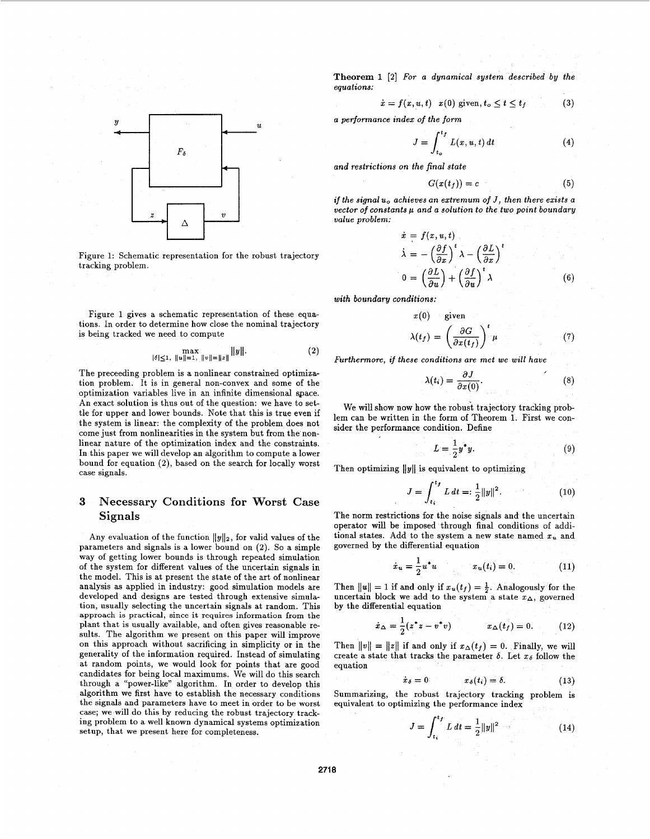

Figure **1:** Schematic representation for the robust trajectory tracking problem.

Figure 1 gives a schematic representation of these equations. In order to determine how close the nominal trajectory is being tracked we need to compute

$$
\max_{\|\delta\| \le 1, \|\|v\| = 1, \|\|v\| = \|\|z\|} \|y\|.
$$
 (2)

The preceeding problem is a nonlinear constrained optimization problem. It is in general non-convex and some of the optimization variables live in an infinite dimensional space. An exact solution is thus out of the question: we have to settle for upper and lower bounds. Note that this is true even if the system is linear: the complexity of the problem does not come just from nonlinearities in the system but from the nonlinear nature of the optimization index and the constraints. In this paper we will develop an algorithm to compute a lower bound for equation (2), based on the search for locally worst case signals.

# **3** Necessary Conditions for Worst Case Signals

Any evaluation of the function  $||y||_2$ , for valid values of the parameters and signals is a lower bound on (2). So a simple way of getting lower bounds is through repeated simulation of the system for different values of the uncertain signals in the model. This is at present the state of the art of nonlinear analysis as applied in industry: good simulation models are developed and designs are tested through extensive simulation, usually selecting the uncertain signals at random. This approach is practical, since it requires information from the plant that is usually available, and often gives reasonable results. The algorithm we present on this paper will improve on this approach without sacrificing in simplicity or in the generality of the information required. Instead of simulating at random points, we would look for points that are good candidates for being local maximums. We will do this search through a "power-like" algorithm. In order to develop this algorithm we first have to establish the necessary conditions the signals and parameters have to meet in order to be worst case; we will do this by reducing the robust trajectory tracking problem to a well known dynamical systems optimization setup, that we present here for completeness.

Theorem 1 [2] For a dynamical system described by the equations:

$$
\dot{x} = f(x, u, t) \quad x(0) \text{ given, } t_0 \le t \le t_f \tag{3}
$$

a performance index of the form

$$
J = \int_{t_o}^{t_f} L(x, u, t) dt
$$
 (4)

and restrictions on the final state

$$
G(x(t_f)) = c \tag{5}
$$

if the signal  $u_0$  achieves an extremum of  $J$ , then there exists a vector of constants  $\mu$  and a solution to the two point boundary value problem:

$$
\dot{x} = f(x, u, t)
$$
  
\n
$$
\dot{\lambda} = -\left(\frac{\partial f}{\partial x}\right)^t \lambda - \left(\frac{\partial L}{\partial x}\right)^t
$$
  
\n
$$
0 = \left(\frac{\partial L}{\partial u}\right) + \left(\frac{\partial f}{\partial u}\right)^t \lambda
$$
 (6)

with boundary conditions:

$$
x(0) \quad \text{given}
$$

$$
\lambda(t_f) = \left(\frac{\partial G}{\partial x(t_f)}\right)^t \mu \tag{7}
$$

Furthermore, if these conditions are met we will have

$$
\lambda(t_i) = \frac{\partial J}{\partial x(0)}.
$$
 (8)

We will show now how the robust trajectory tracking problem can be written in the form of Theorem 1. First we consider the performance condition. Define

$$
L = \frac{1}{2}y^*y. \tag{9}
$$

Then optimizing  $\|y\|$  is equivalent to optimizing

$$
J = \int_{t_i}^{t_f} L dt =: \frac{1}{2} ||y||^2.
$$
 (10)

The norm restrictions for the noise signals and the uncertain operator will be imposed through final conditions of additional states. Add to the system a new state named  $x_u$  and governed by the differential equation

$$
\dot{x}_u = \frac{1}{2} u^* u \qquad x_u(t_i) = 0. \tag{11}
$$

Then  $||u|| = 1$  if and only if  $x_u(t_f) = \frac{1}{2}$ . Analogously for the uncertain block we add to the system a state  $x_{\Delta}$ , governed by the differential equation

$$
\dot{x}_{\Delta} = \frac{1}{2} (z^* z - v^* v) \qquad x_{\Delta}(t_f) = 0. \qquad (12)
$$

Then  $||v|| = ||z||$  if and only if  $x_{\Delta}(t_f) = 0$ . Finally, we will create a state that tracks the parameter  $\delta$ . Let  $x_{\delta}$  follow the equation

$$
\dot{x}_{\delta} = 0 \qquad x_{\delta}(t_i) = \delta. \tag{13}
$$

Summarizing, the robust trajectory tracking problem is equivalent to optimizing the performance index

$$
J = \int_{t_i}^{t_f} L dt = \frac{1}{2} ||y||^2 \qquad (14)
$$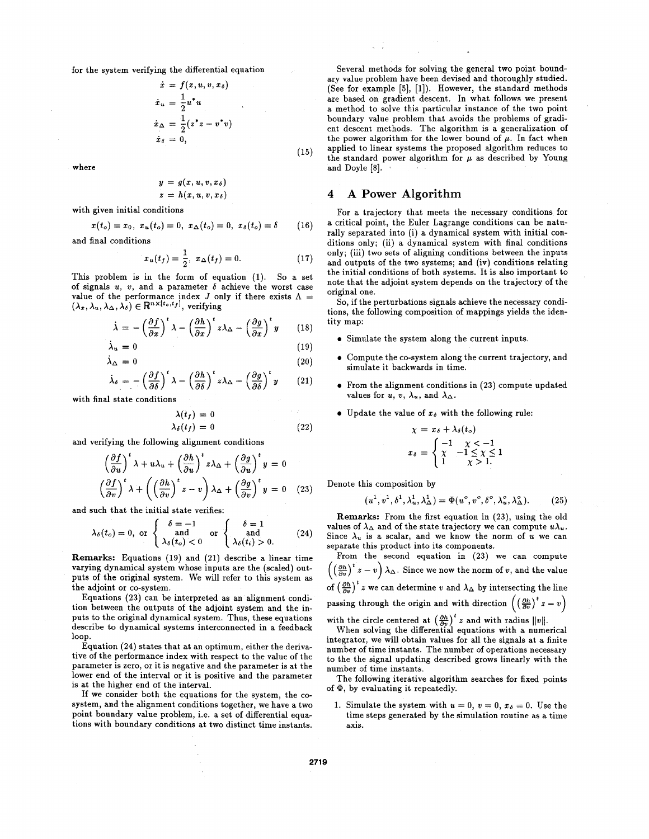for the system verifying the differential equation

$$
\dot{x} = f(x, u, v, x_{\delta})
$$
  
\n
$$
\dot{x}_u = \frac{1}{2}u^*u
$$
  
\n
$$
\dot{x}_{\Delta} = \frac{1}{2}(z^*z - v^*v)
$$
  
\n
$$
\dot{x}_{\delta} = 0,
$$

 $(15)$ 

where

$$
y = g(x, u, v, x_{\delta})
$$
  

$$
z = h(x, u, v, x_{\delta})
$$

with given initial conditions

$$
x(t_o) = x_0, x_u(t_o) = 0, x_\Delta(t_o) = 0, x_\delta(t_o) = \delta \qquad (16)
$$
  
and final conditions

$$
x_u(t_f) = \frac{1}{2}, \ x_\Delta(t_f) = 0. \tag{17}
$$

This problem is in the form of equation **(I).** So a set of signals  $u$ ,  $v$ , and a parameter  $\delta$  achieve the worst case value of the performance index *J* only if there exists  $\Lambda$  =  $(\lambda_x, \lambda_u, \lambda_{\Delta}, \lambda_{\delta}) \in \mathbb{R}^{n \times [t_o, t_f]},$  verifying

$$
\dot{\lambda} = -\left(\frac{\partial f}{\partial x}\right)^t \lambda - \left(\frac{\partial h}{\partial x}\right)^t z \lambda_{\Delta} - \left(\frac{\partial g}{\partial x}\right)^t y \qquad (18)
$$

$$
\dot{\lambda}_u = 0 \tag{19}
$$

$$
\lambda_{\Delta} = 0 \tag{20}
$$

$$
\dot{\lambda}_{\delta} = -\left(\frac{\partial f}{\partial \delta}\right)^{t} \lambda - \left(\frac{\partial h}{\partial \delta}\right)^{t} z \lambda_{\Delta} - \left(\frac{\partial g}{\partial \delta}\right)^{t} y \qquad (21)
$$

with final state conditions

$$
\begin{aligned}\n\lambda(t_f) &= 0\\ \n\lambda_\delta(t_f) &= 0\n\end{aligned} \tag{22}
$$

and verifying the following alignment conditions

$$
\left(\frac{\partial f}{\partial u}\right)^t \lambda + u \lambda_u + \left(\frac{\partial h}{\partial u}\right)^t z \lambda_{\Delta} + \left(\frac{\partial g}{\partial u}\right)^t y = 0
$$
  

$$
\left(\frac{\partial f}{\partial v}\right)^t \lambda + \left(\left(\frac{\partial h}{\partial v}\right)^t z - v\right) \lambda_{\Delta} + \left(\frac{\partial g}{\partial v}\right)^t y = 0 \quad (23)
$$

and such that the initial state verifies:

$$
\lambda_{\delta}(t_o) = 0, \text{ or } \begin{cases} \delta = -1 \\ \text{and} \\ \lambda_{\delta}(t_o) < 0 \end{cases} \text{ or } \begin{cases} \delta = 1 \\ \text{and} \\ \lambda_{\delta}(t_i) > 0. \end{cases} \tag{24}
$$

**Remarks:** Equations **(19)** and **(21)** describe a linear time varying dynamical system whose inputs are the (scaled) outputs of the original system. We will refer to this system as the adjoint or co-system.

Equations **(23)** can be interpreted as an alignment condition between the outputs of the adjoint system and the inputs to the original dynamical system. Thus, these equations describe to dynamical systems interconnected in a feedback loop.

Equation **(24)** states that at an optimum, either the derivative of the performance index with respect to the value of the parameter is zero, or it is negative and the parameter is at the lower end of the interval or it is positive and the parameter is at the higher end **of** the interval.

If we consider both the equations for the system, the cosystem, and the alignment conditions together, we have a two point boundary value problem, i.e. a set of differential equations with boundary conditions at two distinct time instants.

Several methods for solving the general two point boundary value problem have been devised and thoroughly studied. (See for example *[5],* **[l]).** However, the standard methods are based on gradient descent. In what follows we present a method to solve this particular instance of the two point boundary value problem that avoids the problems of gradient descent methods. The algorithm is a generalization of the power algorithm for the lower bound of  $\mu$ . In fact when applied to linear systems the proposed algorithm reduces to the standard power algorithm for  $\mu$  as described by Young and Doyle [8].

# **4 A Power Algorithm**

For a trajectory that meets the necessary conditions for a critical point, the Euler Lagrange conditions can be naturally separated into (i) a dynamical system with initial conditions only; (ii) a dynamical system with final conditions only; (iii) two sets of aligning conditions between the inputs and outputs of the two systems; and (iv) conditions relating the initial conditions of both systems. It is also important to note that the adjoint system depends on the trajectory of the original one.

So, if the perturbations signals achieve the necessary conditions, the following composition of mappings yields the identity map:

- *0* Simulate the system along the current inputs.
- *0* Compute the co-system along the current trajectory, and simulate it backwards in time.
- From the alignment conditions in **(23)** compute updated values for *u*, *v*,  $\lambda_u$ , and  $\lambda_{\Delta}$ .
- $\bullet$  Update the value of  $x_{\delta}$  with the following rule:

$$
\chi = x_{\delta} + \lambda_{\delta}(t_o)
$$
  

$$
x_{\delta} = \begin{cases} -1 & \chi < -1 \\ \chi & -1 \le \chi \le 1 \\ 1 & \chi > 1. \end{cases}
$$

Denote this composition by

$$
(u^1, v^1, \delta^1, \lambda_u^1, \lambda_\Delta^1) = \Phi(u^\circ, v^\circ, \delta^\circ, \lambda_u^\circ, \lambda_\Delta^\circ). \tag{25}
$$

**Remarks:** From the first equation in **(23),** using the old values of  $\lambda_{\Delta}$  and of the state trajectory we can compute  $u\lambda_{u}$ . Since  $\lambda_u$  is a scalar, and we know the norm of *u* we can separate this product into its components.

From the second equation in **(23)** we can compute  $\left(\left(\frac{\partial h}{\partial v}\right)^t z - v\right) \lambda_{\Delta}$ . Since we now the norm of *v*, and the value of  $\left(\frac{\partial h}{\partial v}\right)^t z$  we can determine v and  $\lambda_{\Delta}$  by intersecting the line passing through the origin and with direction  $\left(\left(\frac{\partial h}{\partial v}\right)^t z - v\right)$ 

with the circle centered at  $\left(\frac{\partial h}{\partial v}\right)^t z$  and with radius  $||v||$ .<br>When solving the differential equations with a numerical integrator, we will obtain values for all the signals at a finite number of time instants. The number of operations necessary to the the signal updating described grows linearly with the number of time instants.

The following iterative algorithm searches for fixed points of **a,** by evaluating it repeatedly.

1. Simulate the system with  $u = 0$ ,  $v = 0$ ,  $x_{\delta} = 0$ . Use the time steps generated by the simulation routine as a time axis.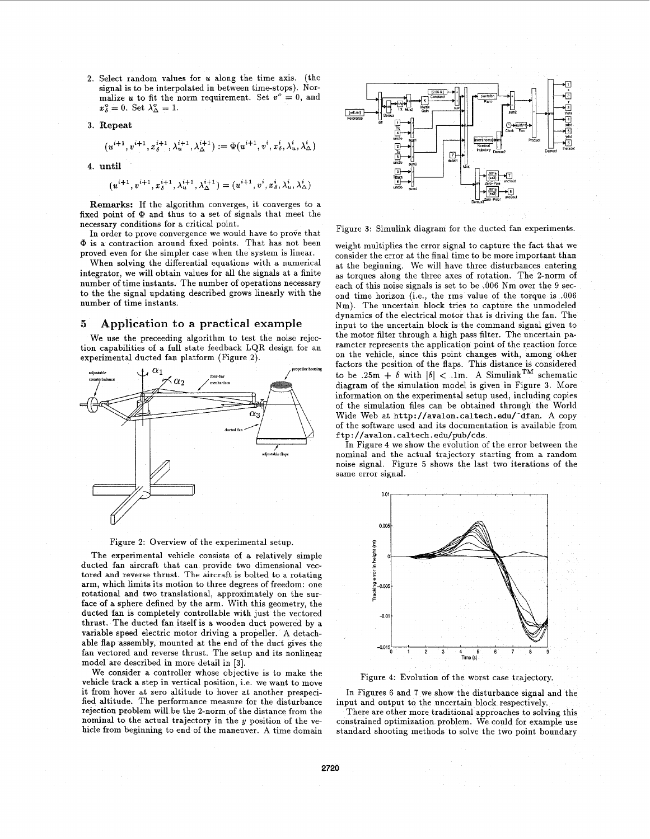- 2. Select random values for *U* along the time axis. (the signal is to be interpolated in between time-stops). Normalize *u* to fit the norm requirement. Set  $v^{\circ} = 0$ , and  $x^o_\delta = 0$ . Set  $\lambda^o_\Delta = 1$ .
- **3. Repeat**

$$
(u^{i+1},v^{i+1},x_\delta^{i+1},\lambda_u^{i+1},\lambda_\Delta^{i+1}) := \Phi(u^{i+1},v^i,x_\delta^i,\lambda_u^i,\lambda_\Delta^i)
$$

**4. until** 

$$
(u^{i+1},v^{i+1},x_\delta^{i+1},\lambda_u^{i+1},\lambda_\Delta^{i+1})=(u^{i+1},v^i,x_\delta^i,\lambda_u^i,\lambda_\Delta^i)
$$

**Remarks:** If the algorithm converges, it converges to a fixed point of  $\Phi$  and thus to a set of signals that meet the necessary conditions for a critical point.

In order to prove convergence we would have to prove that *CP* is a contraction around fixed points. That has not been proved even for the simpler case when the system is linear.

When solving the differential equations with a numerical integrator, we will obtain values for all the signals at a finite number of time instants. The number of operations necessary to the the signal updating described grows linearly with the number of time instants.

# *5* **Application to a practical example**

We use the preceeding algorithm to test the noise rejection capabilities of a full state feedback LQR design for an experimental ducted fan platform (Figure 2).



Figure 2: Overview of the experimental setup.

The experimental vehicle consists of a relatively simple ducted fan aircraft that can provide two dimensional vectored and reverse thrust. The aircraft is bolted to a rotating arm, which limits its motion to three degrees of freedom: one rotational and two translational, approximately on the surface of a sphere defined by the arm. With this geometry, the ducted fan is completely controllable with just the vectored thrust. The ducted fan itself is a wooden duct powered by a variable speed electric motor driving a propeller. **A** detachable flap assembly, mounted at the end of the duct gives the fan vectored and reverse thrust. The setup and its nonlinear model are described in more detail in **[3].** 

We consider a controller whose objective is to make the vehicle track a step in vertical position, i.e. we want to move it from hover at zero altitude to hover at another prespecified altitude. The performance measure for the disturbance rejection problem will be the 2-norm of the distance from the nominal to the actual trajectory in the **y** position of the vehicle from beginning to end of the maneuver. **A** time domain



Figure **3:** Simulink diagram for the ducted fan experiments.

weight multiplies the error signal to capture the fact that we consider the error at the final time to be more important than at the beginning. We will have three disturbances entering **as** torques along the three axes of rotation. The 2-norm of each of this noise signals is set to be .006 Nm over the 9 second time horizon (i.e., the rms value of the torque is .006 Nm). The uncertain block tries to capture the unmodeled dynamics of the electrical motor that is driving the fan. The input to the uncertain block is the command signal given to the motor filter through a high pass filter. The uncertain parameter represents the application point of the reaction force on the vehicle, since this point changes with, among other factors the position of the flaps. This distance is considered to be  $.25m + \delta$  with  $|\delta| < .1m$ . A Simulink<sup>TM</sup> schematic diagram of the simulation model is given in Figure **3.** More information on the experimental setup used, including copies of the simulation files can be obtained through the World Wide Web at **[http://avalon.caltech.edu/"dfan.](http://avalon.caltech.edu/"dfan) A** copy of the software used and its documentation is available from **[ftp://avalon.caltech.edu/pub/cds.](ftp://avalon.caltech.edu/pub/cds)** 

In Figure **4** we show the evolution of the error between the nominal and the actual trajectory starting from a random noise signal. Figure 5 shows the last two iterations of the same error signal.



Figure **4:** Evolution of the worst case trajectory.

In Figures 6 and *7* we show the disturbance signal and the input and output to the uncertain block respectively.

There are other more traditional approaches to solving this constrained optimization problem. We could for example use standard shooting methods to solve the two point boundary